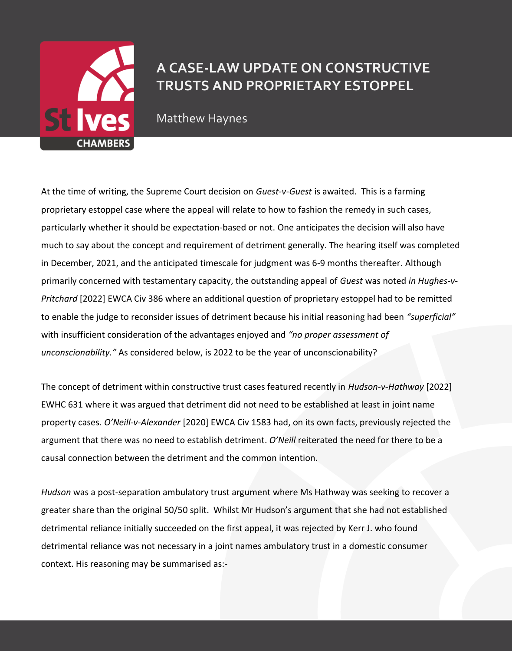

## **A CASE-LAW UPDATE ON CONSTRUCTIVE TRUSTS AND PROPRIETARY ESTOPPEL**

Matthew Haynes

At the time of writing, the Supreme Court decision on *Guest-v-Guest* is awaited. This is a farming proprietary estoppel case where the appeal will relate to how to fashion the remedy in such cases, particularly whether it should be expectation-based or not. One anticipates the decision will also have much to say about the concept and requirement of detriment generally. The hearing itself was completed in December, 2021, and the anticipated timescale for judgment was 6-9 months thereafter. Although primarily concerned with testamentary capacity, the outstanding appeal of *Guest* was noted *in Hughes-v-Pritchard* [2022] EWCA Civ 386 where an additional question of proprietary estoppel had to be remitted to enable the judge to reconsider issues of detriment because his initial reasoning had been *"superficial"* with insufficient consideration of the advantages enjoyed and *"no proper assessment of unconscionability."* As considered below, is 2022 to be the year of unconscionability?

The concept of detriment within constructive trust cases featured recently in *Hudson-v-Hathway* [2022] EWHC 631 where it was argued that detriment did not need to be established at least in joint name property cases. *O'Neill-v-Alexander* [2020] EWCA Civ 1583 had, on its own facts, previously rejected the argument that there was no need to establish detriment. *O'Neill* reiterated the need for there to be a causal connection between the detriment and the common intention.

*Hudson* was a post-separation ambulatory trust argument where Ms Hathway was seeking to recover a greater share than the original 50/50 split. Whilst Mr Hudson's argument that she had not established detrimental reliance initially succeeded on the first appeal, it was rejected by Kerr J. who found detrimental reliance was not necessary in a joint names ambulatory trust in a domestic consumer context. His reasoning may be summarised as:-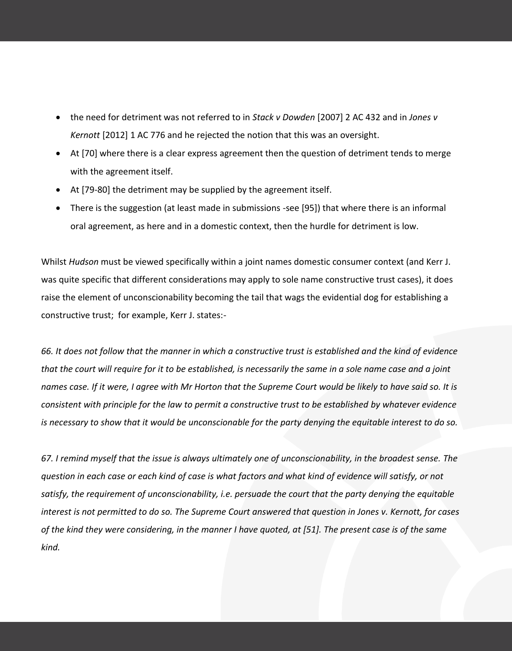- the need for detriment was not referred to in *Stack v Dowden* [2007] 2 AC 432 and in *Jones v Kernott* [2012] 1 AC 776 and he rejected the notion that this was an oversight.
- At [70] where there is a clear express agreement then the question of detriment tends to merge with the agreement itself.
- At [79-80] the detriment may be supplied by the agreement itself.
- There is the suggestion (at least made in submissions -see [95]) that where there is an informal oral agreement, as here and in a domestic context, then the hurdle for detriment is low.

Whilst *Hudson* must be viewed specifically within a joint names domestic consumer context (and Kerr J. was quite specific that different considerations may apply to sole name constructive trust cases), it does raise the element of unconscionability becoming the tail that wags the evidential dog for establishing a constructive trust; for example, Kerr J. states:-

*66. It does not follow that the manner in which a constructive trust is established and the kind of evidence that the court will require for it to be established, is necessarily the same in a sole name case and a joint names case. If it were, I agree with Mr Horton that the Supreme Court would be likely to have said so. It is consistent with principle for the law to permit a constructive trust to be established by whatever evidence is necessary to show that it would be unconscionable for the party denying the equitable interest to do so.*

*67. I remind myself that the issue is always ultimately one of unconscionability, in the broadest sense. The question in each case or each kind of case is what factors and what kind of evidence will satisfy, or not satisfy, the requirement of unconscionability, i.e. persuade the court that the party denying the equitable interest is not permitted to do so. The Supreme Court answered that question in Jones v. Kernott, for cases of the kind they were considering, in the manner I have quoted, at [51]. The present case is of the same kind.*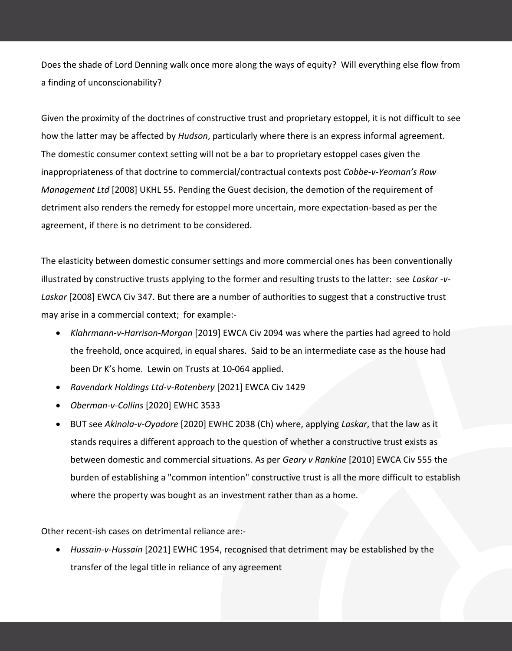Does the shade of Lord Denning walk once more along the ways of equity? Will everything else flow from a finding of unconscionability?

Given the proximity of the doctrines of constructive trust and proprietary estoppel, it is not difficult to see how the latter may be affected by *Hudson*, particularly where there is an express informal agreement. The domestic consumer context setting will not be a bar to proprietary estoppel cases given the inappropriateness of that doctrine to commercial/contractual contexts post *Cobbe-v-Yeoman's Row Management Ltd* [2008] UKHL 55. Pending the Guest decision, the demotion of the requirement of detriment also renders the remedy for estoppel more uncertain, more expectation-based as per the agreement, if there is no detriment to be considered.

The elasticity between domestic consumer settings and more commercial ones has been conventionally illustrated by constructive trusts applying to the former and resulting trusts to the latter: see *Laskar -v-Laskar* [2008] EWCA Civ 347. But there are a number of authorities to suggest that a constructive trust may arise in a commercial context; for example:-

- *Klahrmann-v-Harrison-Morgan* [2019] EWCA Civ 2094 was where the parties had agreed to hold the freehold, once acquired, in equal shares. Said to be an intermediate case as the house had been Dr K's home. Lewin on Trusts at 10-064 applied.
- *Ravendark Holdings Ltd-v-Rotenbery* [2021] EWCA Civ 1429
- *Oberman-v-Collins* [2020] EWHC 3533
- BUT see *Akinola-v-Oyadore* [2020] EWHC 2038 (Ch) where, applying *Laskar*, that the law as it stands requires a different approach to the question of whether a constructive trust exists as between domestic and commercial situations. As per *Geary v Rankine* [2010] EWCA Civ 555 the burden of establishing a "common intention" constructive trust is all the more difficult to establish where the property was bought as an investment rather than as a home.

Other recent-ish cases on detrimental reliance are:-

 *Hussain-v-Hussain* [2021] EWHC 1954, recognised that detriment may be established by the transfer of the legal title in reliance of any agreement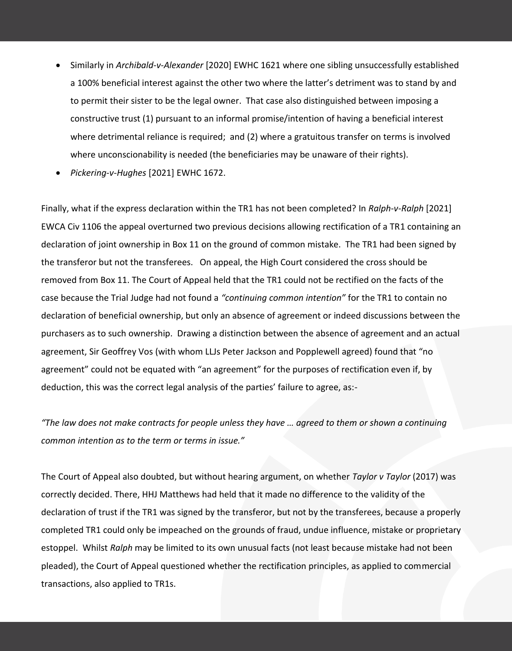- Similarly in *Archibald-v-Alexander* [2020] EWHC 1621 where one sibling unsuccessfully established a 100% beneficial interest against the other two where the latter's detriment was to stand by and to permit their sister to be the legal owner. That case also distinguished between imposing a constructive trust (1) pursuant to an informal promise/intention of having a beneficial interest where detrimental reliance is required; and (2) where a gratuitous transfer on terms is involved where unconscionability is needed (the beneficiaries may be unaware of their rights).
- *Pickering-v-Hughes* [2021] EWHC 1672.

Finally, what if the express declaration within the TR1 has not been completed? In *Ralph-v-Ralph* [2021] EWCA Civ 1106 the appeal overturned two previous decisions allowing rectification of a TR1 containing an declaration of joint ownership in Box 11 on the ground of common mistake. The TR1 had been signed by the transferor but not the transferees. On appeal, the High Court considered the cross should be removed from Box 11. The Court of Appeal held that the TR1 could not be rectified on the facts of the case because the Trial Judge had not found a *"continuing common intention"* for the TR1 to contain no declaration of beneficial ownership, but only an absence of agreement or indeed discussions between the purchasers as to such ownership. Drawing a distinction between the absence of agreement and an actual agreement, Sir Geoffrey Vos (with whom LLJs Peter Jackson and Popplewell agreed) found that "no agreement" could not be equated with "an agreement" for the purposes of rectification even if, by deduction, this was the correct legal analysis of the parties' failure to agree, as:-

*"The law does not make contracts for people unless they have … agreed to them or shown a continuing common intention as to the term or terms in issue."*

The Court of Appeal also doubted, but without hearing argument, on whether *Taylor v Taylor* (2017) was correctly decided. There, HHJ Matthews had held that it made no difference to the validity of the declaration of trust if the TR1 was signed by the transferor, but not by the transferees, because a properly completed TR1 could only be impeached on the grounds of fraud, undue influence, mistake or proprietary estoppel. Whilst *Ralph* may be limited to its own unusual facts (not least because mistake had not been pleaded), the Court of Appeal questioned whether the rectification principles, as applied to commercial transactions, also applied to TR1s.